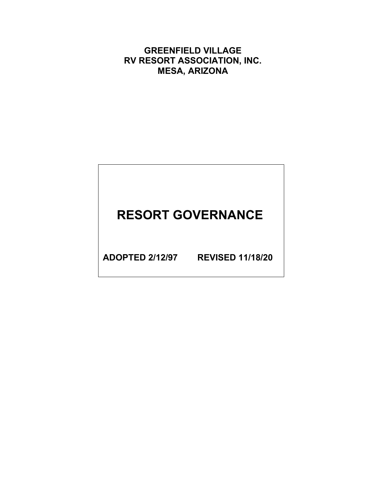**GREENFIELD VILLAGE RV RESORT ASSOCIATION, INC. MESA, ARIZONA**

# **RESORT GOVERNANCE**

**ADOPTED 2/12/97 REVISED 11/18/20**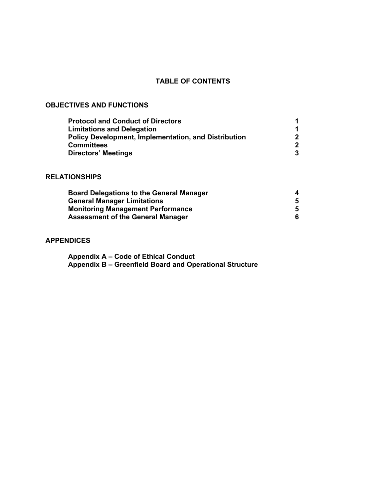# **TABLE OF CONTENTS**

# **OBJECTIVES AND FUNCTIONS**

| <b>Protocol and Conduct of Directors</b>                    |              |
|-------------------------------------------------------------|--------------|
| <b>Limitations and Delegation</b>                           |              |
| <b>Policy Development, Implementation, and Distribution</b> |              |
| <b>Committees</b>                                           | $\mathbf{2}$ |
| <b>Directors' Meetings</b>                                  | 3            |

# **RELATIONSHIPS**

| <b>Board Delegations to the General Manager</b><br><b>General Manager Limitations</b> | 4<br>5 |
|---------------------------------------------------------------------------------------|--------|
|                                                                                       |        |
| <b>Assessment of the General Manager</b>                                              | 6      |

# **APPENDICES**

**Appendix A – Code of Ethical Conduct Appendix B – Greenfield Board and Operational Structure**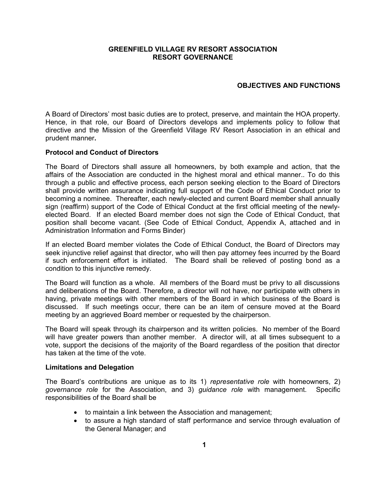#### **GREENFIELD VILLAGE RV RESORT ASSOCIATION RESORT GOVERNANCE**

#### **OBJECTIVES AND FUNCTIONS**

A Board of Directors' most basic duties are to protect, preserve, and maintain the HOA property. Hence, in that role, our Board of Directors develops and implements policy to follow that directive and the Mission of the Greenfield Village RV Resort Association in an ethical and prudent manner**.**

#### **Protocol and Conduct of Directors**

The Board of Directors shall assure all homeowners, by both example and action, that the affairs of the Association are conducted in the highest moral and ethical manner.. To do this through a public and effective process, each person seeking election to the Board of Directors shall provide written assurance indicating full support of the Code of Ethical Conduct prior to becoming a nominee. Thereafter, each newly-elected and current Board member shall annually sign (reaffirm) support of the Code of Ethical Conduct at the first official meeting of the newlyelected Board. If an elected Board member does not sign the Code of Ethical Conduct, that position shall become vacant. (See Code of Ethical Conduct, Appendix A, attached and in Administration Information and Forms Binder)

If an elected Board member violates the Code of Ethical Conduct, the Board of Directors may seek injunctive relief against that director, who will then pay attorney fees incurred by the Board if such enforcement effort is initiated. The Board shall be relieved of posting bond as a condition to this injunctive remedy.

The Board will function as a whole. All members of the Board must be privy to all discussions and deliberations of the Board. Therefore, a director will not have, nor participate with others in having, private meetings with other members of the Board in which business of the Board is discussed. If such meetings occur, there can be an item of censure moved at the Board meeting by an aggrieved Board member or requested by the chairperson.

The Board will speak through its chairperson and its written policies. No member of the Board will have greater powers than another member. A director will, at all times subsequent to a vote, support the decisions of the majority of the Board regardless of the position that director has taken at the time of the vote.

#### **Limitations and Delegation**

The Board's contributions are unique as to its 1) *representative role* with homeowners, 2) *governance role* for the Association, and 3) *guidance role* with management. Specific responsibilities of the Board shall be

- to maintain a link between the Association and management;
- to assure a high standard of staff performance and service through evaluation of the General Manager; and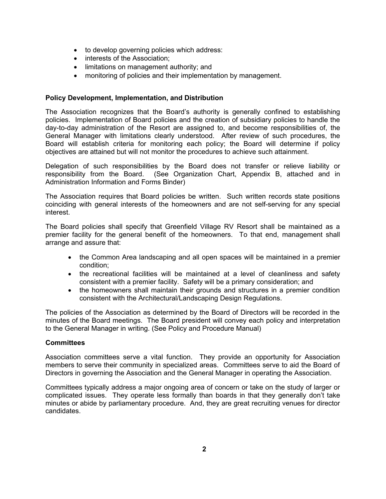- to develop governing policies which address:
- interests of the Association;
- limitations on management authority; and
- monitoring of policies and their implementation by management.

#### **Policy Development, Implementation, and Distribution**

The Association recognizes that the Board's authority is generally confined to establishing policies. Implementation of Board policies and the creation of subsidiary policies to handle the day-to-day administration of the Resort are assigned to, and become responsibilities of, the General Manager with limitations clearly understood. After review of such procedures, the Board will establish criteria for monitoring each policy; the Board will determine if policy objectives are attained but will not monitor the procedures to achieve such attainment.

Delegation of such responsibilities by the Board does not transfer or relieve liability or responsibility from the Board. (See Organization Chart, Appendix B, attached and in Administration Information and Forms Binder)

The Association requires that Board policies be written. Such written records state positions coinciding with general interests of the homeowners and are not self-serving for any special interest.

The Board policies shall specify that Greenfield Village RV Resort shall be maintained as a premier facility for the general benefit of the homeowners. To that end, management shall arrange and assure that:

- the Common Area landscaping and all open spaces will be maintained in a premier condition;
- the recreational facilities will be maintained at a level of cleanliness and safety consistent with a premier facility. Safety will be a primary consideration; and
- the homeowners shall maintain their grounds and structures in a premier condition consistent with the Architectural/Landscaping Design Regulations.

The policies of the Association as determined by the Board of Directors will be recorded in the minutes of the Board meetings. The Board president will convey each policy and interpretation to the General Manager in writing. (See Policy and Procedure Manual)

#### **Committees**

Association committees serve a vital function. They provide an opportunity for Association members to serve their community in specialized areas. Committees serve to aid the Board of Directors in governing the Association and the General Manager in operating the Association.

Committees typically address a major ongoing area of concern or take on the study of larger or complicated issues. They operate less formally than boards in that they generally don't take minutes or abide by parliamentary procedure. And, they are great recruiting venues for director candidates.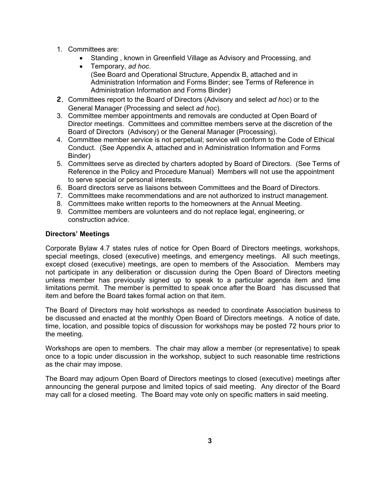- 1. Committees are:
	- Standing , known in Greenfield Village as Advisory and Processing, and
	- Temporary, *ad hoc*. (See Board and Operational Structure, Appendix B, attached and in Administration Information and Forms Binder; see Terms of Reference in Administration Information and Forms Binder)
- **2.** Committees report to the Board of Directors (Advisory and select *ad hoc*) or to the General Manager (Processing and select *ad hoc*).
- 3. Committee member appointments and removals are conducted at Open Board of Director meetings. Committees and committee members serve at the discretion of the Board of Directors (Advisory) or the General Manager (Processing).
- 4. Committee member service is not perpetual; service will conform to the Code of Ethical Conduct. (See Appendix A, attached and in Administration Information and Forms Binder)
- 5. Committees serve as directed by charters adopted by Board of Directors. (See Terms of Reference in the Policy and Procedure Manual) Members will not use the appointment to serve special or personal interests.
- 6. Board directors serve as liaisons between Committees and the Board of Directors.
- 7. Committees make recommendations and are not authorized to instruct management.
- 8. Committees make written reports to the homeowners at the Annual Meeting.
- 9. Committee members are volunteers and do not replace legal, engineering, or construction advice.

#### **Directors' Meetings**

Corporate Bylaw 4.7 states rules of notice for Open Board of Directors meetings, workshops, special meetings, closed (executive) meetings, and emergency meetings. All such meetings, except closed (executive) meetings, are open to members of the Association. Members may not participate in any deliberation or discussion during the Open Board of Directors meeting unless member has previously signed up to speak to a particular agenda item and time limitations permit. The member is permitted to speak once after the Board has discussed that item and before the Board takes formal action on that item.

The Board of Directors may hold workshops as needed to coordinate Association business to be discussed and enacted at the monthly Open Board of Directors meetings. A notice of date, time, location, and possible topics of discussion for workshops may be posted 72 hours prior to the meeting.

Workshops are open to members. The chair may allow a member (or representative) to speak once to a topic under discussion in the workshop, subject to such reasonable time restrictions as the chair may impose.

The Board may adjourn Open Board of Directors meetings to closed (executive) meetings after announcing the general purpose and limited topics of said meeting. Any director of the Board may call for a closed meeting. The Board may vote only on specific matters in said meeting.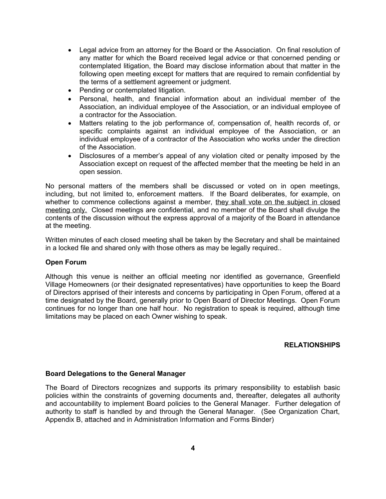- Legal advice from an attorney for the Board or the Association. On final resolution of any matter for which the Board received legal advice or that concerned pending or contemplated litigation, the Board may disclose information about that matter in the following open meeting except for matters that are required to remain confidential by the terms of a settlement agreement or judgment.
- Pending or contemplated litigation.
- Personal, health, and financial information about an individual member of the Association, an individual employee of the Association, or an individual employee of a contractor for the Association.
- Matters relating to the job performance of, compensation of, health records of, or specific complaints against an individual employee of the Association, or an individual employee of a contractor of the Association who works under the direction of the Association.
- Disclosures of a member's appeal of any violation cited or penalty imposed by the Association except on request of the affected member that the meeting be held in an open session.

No personal matters of the members shall be discussed or voted on in open meetings, including, but not limited to, enforcement matters. If the Board deliberates, for example, on whether to commence collections against a member, they shall vote on the subject in closed meeting only. Closed meetings are confidential, and no member of the Board shall divulge the contents of the discussion without the express approval of a majority of the Board in attendance at the meeting.

Written minutes of each closed meeting shall be taken by the Secretary and shall be maintained in a locked file and shared only with those others as may be legally required..

#### **Open Forum**

Although this venue is neither an official meeting nor identified as governance, Greenfield Village Homeowners (or their designated representatives) have opportunities to keep the Board of Directors apprised of their interests and concerns by participating in Open Forum, offered at a time designated by the Board, generally prior to Open Board of Director Meetings. Open Forum continues for no longer than one half hour. No registration to speak is required, although time limitations may be placed on each Owner wishing to speak.

# **RELATIONSHIPS**

#### **Board Delegations to the General Manager**

The Board of Directors recognizes and supports its primary responsibility to establish basic policies within the constraints of governing documents and, thereafter, delegates all authority and accountability to implement Board policies to the General Manager. Further delegation of authority to staff is handled by and through the General Manager. (See Organization Chart, Appendix B, attached and in Administration Information and Forms Binder)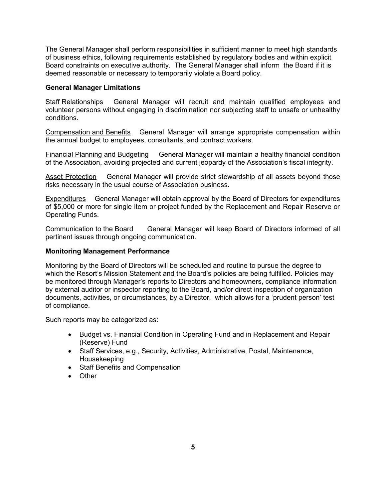The General Manager shall perform responsibilities in sufficient manner to meet high standards of business ethics, following requirements established by regulatory bodies and within explicit Board constraints on executive authority. The General Manager shall inform the Board if it is deemed reasonable or necessary to temporarily violate a Board policy.

#### **General Manager Limitations**

Staff Relationships General Manager will recruit and maintain qualified employees and volunteer persons without engaging in discrimination nor subjecting staff to unsafe or unhealthy conditions.

Compensation and Benefits General Manager will arrange appropriate compensation within the annual budget to employees, consultants, and contract workers.

Financial Planning and Budgeting General Manager will maintain a healthy financial condition of the Association, avoiding projected and current jeopardy of the Association's fiscal integrity.

Asset Protection General Manager will provide strict stewardship of all assets beyond those risks necessary in the usual course of Association business.

Expenditures General Manager will obtain approval by the Board of Directors for expenditures of \$5,000 or more for single item or project funded by the Replacement and Repair Reserve or Operating Funds.

Communication to the Board General Manager will keep Board of Directors informed of all pertinent issues through ongoing communication.

#### **Monitoring Management Performance**

Monitoring by the Board of Directors will be scheduled and routine to pursue the degree to which the Resort's Mission Statement and the Board's policies are being fulfilled. Policies may be monitored through Manager's reports to Directors and homeowners, compliance information by external auditor or inspector reporting to the Board, and/or direct inspection of organization documents, activities, or circumstances, by a Director, which allows for a 'prudent person' test of compliance.

Such reports may be categorized as:

- Budget vs. Financial Condition in Operating Fund and in Replacement and Repair (Reserve) Fund
- Staff Services, e.g., Security, Activities, Administrative, Postal, Maintenance, Housekeeping
- Staff Benefits and Compensation
- Other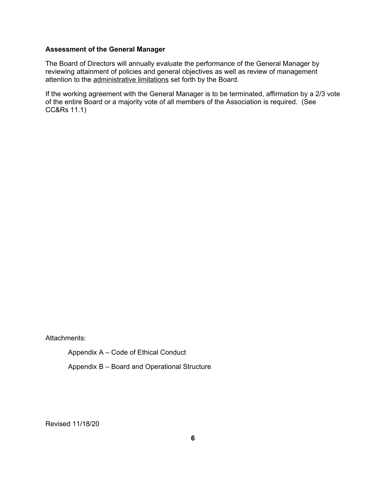#### **Assessment of the General Manager**

The Board of Directors will annually evaluate the performance of the General Manager by reviewing attainment of policies and general objectives as well as review of management attention to the administrative limitations set forth by the Board.

If the working agreement with the General Manager is to be terminated, affirmation by a 2/3 vote of the entire Board or a majority vote of all members of the Association is required. (See CC&Rs 11.1)

Attachments:

Appendix A – Code of Ethical Conduct

Appendix B – Board and Operational Structure

Revised 11/18/20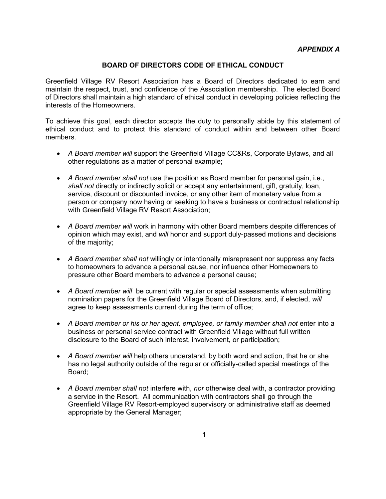#### **BOARD OF DIRECTORS CODE OF ETHICAL CONDUCT**

Greenfield Village RV Resort Association has a Board of Directors dedicated to earn and maintain the respect, trust, and confidence of the Association membership. The elected Board of Directors shall maintain a high standard of ethical conduct in developing policies reflecting the interests of the Homeowners.

To achieve this goal, each director accepts the duty to personally abide by this statement of ethical conduct and to protect this standard of conduct within and between other Board members.

- *A Board member will* support the Greenfield Village CC&Rs, Corporate Bylaws, and all other regulations as a matter of personal example;
- *A Board member shall not* use the position as Board member for personal gain, i.e., *shall not* directly or indirectly solicit or accept any entertainment, gift, gratuity, loan, service, discount or discounted invoice, or any other item of monetary value from a person or company now having or seeking to have a business or contractual relationship with Greenfield Village RV Resort Association;
- *A Board member will* work in harmony with other Board members despite differences of opinion which may exist, and *will* honor and support duly-passed motions and decisions of the majority;
- *A Board member shall not* willingly or intentionally misrepresent nor suppress any facts to homeowners to advance a personal cause, nor influence other Homeowners to pressure other Board members to advance a personal cause;
- *A Board member will* be current with regular or special assessments when submitting nomination papers for the Greenfield Village Board of Directors, and, if elected, *will* agree to keep assessments current during the term of office;
- A Board member or his or her agent, employee, or family member shall not enter into a business or personal service contract with Greenfield Village without full written disclosure to the Board of such interest, involvement, or participation;
- *A Board member will* help others understand, by both word and action, that he or she has no legal authority outside of the regular or officially-called special meetings of the Board;
- A Board member shall not interfere with, nor otherwise deal with, a contractor providing a service in the Resort. All communication with contractors shall go through the Greenfield Village RV Resort-employed supervisory or administrative staff as deemed appropriate by the General Manager;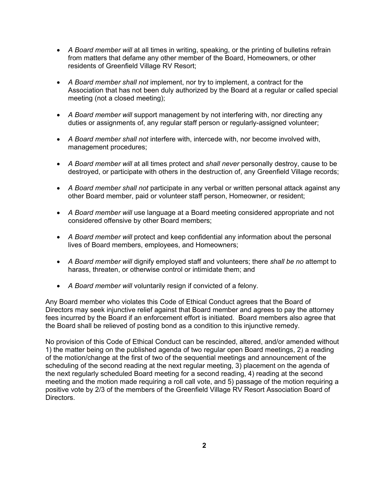- A Board member will at all times in writing, speaking, or the printing of bulletins refrain from matters that defame any other member of the Board, Homeowners, or other residents of Greenfield Village RV Resort;
- *A Board member shall not* implement, nor try to implement, a contract for the Association that has not been duly authorized by the Board at a regular or called special meeting (not a closed meeting);
- *A Board member will* support management by not interfering with, nor directing any duties or assignments of, any regular staff person or regularly-assigned volunteer;
- *A Board member shall not* interfere with, intercede with, nor become involved with, management procedures;
- A Board member will at all times protect and *shall never* personally destroy, cause to be destroyed, or participate with others in the destruction of, any Greenfield Village records;
- *A Board member shall not* participate in any verbal or written personal attack against any other Board member, paid or volunteer staff person, Homeowner, or resident;
- *A Board member will* use language at a Board meeting considered appropriate and not considered offensive by other Board members;
- A Board member will protect and keep confidential any information about the personal lives of Board members, employees, and Homeowners;
- *A Board member will* dignify employed staff and volunteers; there *shall be no* attempt to harass, threaten, or otherwise control or intimidate them; and
- *A Board member will* voluntarily resign if convicted of a felony.

Any Board member who violates this Code of Ethical Conduct agrees that the Board of Directors may seek injunctive relief against that Board member and agrees to pay the attorney fees incurred by the Board if an enforcement effort is initiated. Board members also agree that the Board shall be relieved of posting bond as a condition to this injunctive remedy.

No provision of this Code of Ethical Conduct can be rescinded, altered, and/or amended without 1) the matter being on the published agenda of two regular open Board meetings, 2) a reading of the motion/change at the first of two of the sequential meetings and announcement of the scheduling of the second reading at the next regular meeting, 3) placement on the agenda of the next regularly scheduled Board meeting for a second reading, 4) reading at the second meeting and the motion made requiring a roll call vote, and 5) passage of the motion requiring a positive vote by 2/3 of the members of the Greenfield Village RV Resort Association Board of Directors.